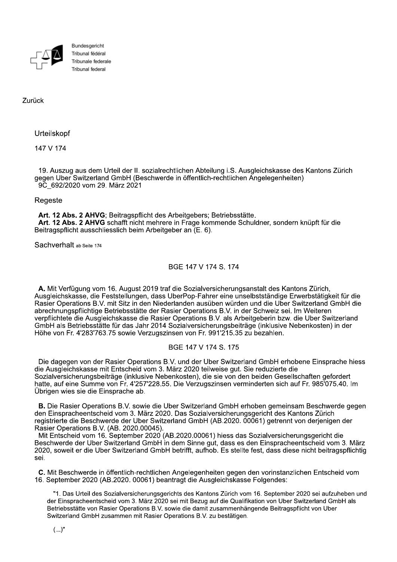

Bundesgericht Tribunal fédéral Tribunale federale Tribunal federal

Zurück

Urteilskopf

147 V 174

19. Auszug aus dem Urteil der II. sozialrechtlichen Abteilung i.S. Ausgleichskasse des Kantons Zürich gegen Über Switzerland GmbH (Beschwerde in öffentlich-rechtlichen Angelegenheiten) 9C 692/2020 vom 29. März 2021

## Regeste

Art. 12 Abs. 2 AHVG; Beitragspflicht des Arbeitgebers; Betriebsstätte. Art. 12 Abs. 2 AHVG schafft nicht mehrere in Frage kommende Schuldner, sondern knüpft für die Beitragspflicht ausschliesslich beim Arbeitgeber an (E. 6).

Sachverhalt ab Seite 174

# BGE 147 V 174 S. 174

A. Mit Verfügung vom 16. August 2019 traf die Sozialversicherungsanstalt des Kantons Zürich, Ausgleichskasse, die Feststellungen, dass UberPop-Fahrer eine unselbstständige Erwerbstätigkeit für die Rasier Operations B.V. mit Sitz in den Niederlanden ausüben würden und die Über Switzerland GmbH die abrechnungspflichtige Betriebsstätte der Rasier Operations B.V. in der Schweiz sei. Im Weiteren verpflichtete die Ausgleichskasse die Rasier Operations B.V. als Arbeitgeberin bzw. die Uber Switzerland GmbH als Betriebsstätte für das Jahr 2014 Sozialversicherungsbeiträge (inklusive Nebenkosten) in der Höhe von Fr. 4'283'763.75 sowie Verzugszinsen von Fr. 991'215.35 zu bezahlen.

# BGE 147 V 174 S. 175

Die dagegen von der Rasier Operations B.V. und der Uber Switzerland GmbH erhobene Einsprache hiess die Ausgleichskasse mit Entscheid vom 3. März 2020 teilweise gut. Sie reduzierte die Sozialversicherungsbeiträge (inklusive Nebenkosten), die sie von den beiden Gesellschaften gefordert hatte, auf eine Summe von Fr. 4'257'228.55. Die Verzugszinsen verminderten sich auf Fr. 985'075.40. Im Übrigen wies sie die Einsprache ab.

**B.** Die Rasier Operations B.V. sowie die Uber Switzerland GmbH erhoben gemeinsam Beschwerde gegen den Einspracheentscheid vom 3. März 2020. Das Sozialversicherungsgericht des Kantons Zürich registrierte die Beschwerde der Uber Switzerland GmbH (AB.2020. 00061) getrennt von derjenigen der Rasier Operations B.V. (AB. 2020.00045).

Mit Entscheid vom 16. September 2020 (AB.2020.00061) hiess das Sozialversicherungsgericht die Beschwerde der Uber Switzerland GmbH in dem Sinne gut, dass es den Einspracheentscheid vom 3. März 2020, soweit er die Uber Switzerland GmbH betrifft, aufhob. Es stellte fest, dass diese nicht beitragspflichtig sei

C. Mit Beschwerde in öffentlich-rechtlichen Angelegenheiten gegen den vorinstanzlichen Entscheid vom 16. September 2020 (AB.2020. 00061) beantragt die Ausgleichskasse Folgendes:

"1. Das Urteil des Sozialversicherungsgerichts des Kantons Zürich vom 16. September 2020 sei aufzuheben und der Einspracheentscheid vom 3. März 2020 sei mit Bezug auf die Qualifikation von Uber Switzerland GmbH als Betriebsstätte von Rasier Operations B.V. sowie die damit zusammenhängende Beitragspflicht von Uber Switzerland GmbH zusammen mit Rasier Operations B.V. zu bestätigen.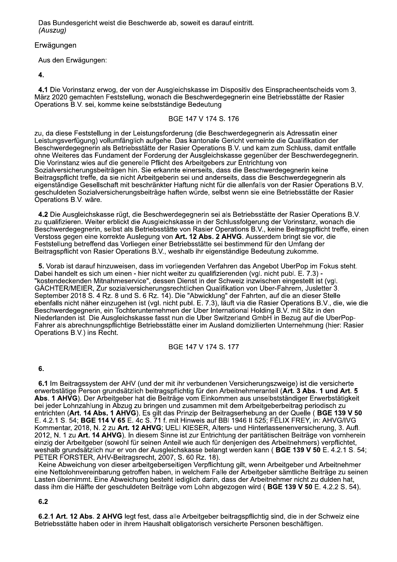Das Bundesgericht weist die Beschwerde ab, soweit es darauf eintritt. (Auszug)

#### Erwägungen

Aus den Erwägungen:

4.

4.1 Die Vorinstanz erwog, der von der Ausgleichskasse im Dispositiv des Einspracheentscheids vom 3. März 2020 gemachten Feststellung, wonach die Beschwerdegegnerin eine Betriebsstätte der Rasier Operations B.V. sei, komme keine selbstständige Bedeutung

### BGE 147 V 174 S. 176

zu, da diese Feststellung in der Leistungsforderung (die Beschwerdegegnerin als Adressatin einer Leistungsverfügung) vollumfänglich aufgehe. Das kantonale Gericht verneinte die Qualifikation der Beschwerdegegnerin als Betriebsstätte der Rasier Operations B.V. und kam zum Schluss, damit entfalle ohne Weiteres das Fundament der Forderung der Ausgleichskasse gegenüber der Beschwerdegegnerin. Die Vorinstanz wies auf die generelle Pflicht des Arbeitgebers zur Entrichtung von Sozialversicherungsbeiträgen hin. Sie erkannte einerseits, dass die Beschwerdegegnerin keine Beitragspflicht treffe, da sie nicht Arbeitgeberin sei und anderseits, dass die Beschwerdegegnerin als eigenständige Gesellschaft mit beschränkter Haftung nicht für die allenfalls von der Rasier Operations B.V. geschuldeten Sozialversicherungsbeiträge haften würde, selbst wenn sie eine Betriebsstätte der Rasier Operations B.V. wäre.

4.2 Die Ausgleichskasse rügt, die Beschwerdegegnerin sei als Betriebsstätte der Rasier Operations B.V. zu qualifizieren. Weiter erblickt die Ausgleichskasse in der Schlussfolgerung der Vorinstanz, wonach die Beschwerdegegnerin, selbst als Betriebsstätte von Rasier Operations B.V., keine Beitragspflicht treffe, einen Verstoss gegen eine korrekte Auslegung von Art. 12 Abs. 2 AHVG. Ausserdem bringt sie vor, die Feststellung betreffend das Vorliegen einer Betriebsstätte sei bestimmend für den Umfang der Beitragspflicht von Rasier Operations B.V., weshalb ihr eigenständige Bedeutung zukomme.

5. Vorab ist darauf hinzuweisen, dass im vorliegenden Verfahren das Angebot UberPop im Fokus steht. Dabei handelt es sich um einen - hier nicht weiter zu qualifizierenden (vgl. nicht publ. E. 7.3) -"kostendeckenden Mitnahmeservice", dessen Dienst in der Schweiz inzwischen eingestellt ist (vgl. GÄCHTER/MEIER, Zur sozialversicherungsrechtlichen Qualifikation von Uber-Fahrern, Jusletter 3. September 2018 S. 4 Rz. 8 und S. 6 Rz. 14). Die "Abwicklung" der Fahrten, auf die an dieser Stelle ebenfalls nicht näher einzugehen ist (vgl. nicht publ. E. 7.3), läuft via die Rasier Operations B.V., die, wie die Beschwerdegegnerin, ein Tochterunternehmen der Uber International Holding B.V. mit Sitz in den Niederlanden ist. Die Ausgleichskasse fasst nun die Uber Switzerland GmbH in Bezug auf die UberPop-Fahrer als abrechnungspflichtige Betriebsstätte einer im Ausland domizilierten Unternehmung (hier: Rasier Operations B.V.) ins Recht.

BGE 147 V 174 S. 177

6.

6.1 Im Beitragssystem der AHV (und der mit ihr verbundenen Versicherungszweige) ist die versicherte erwerbstätige Person grundsätzlich beitragspflichtig für den Arbeitnehmeranteil (Art. 3 Abs. 1 und Art. 5 Abs. 1 AHVG). Der Arbeitgeber hat die Beiträge vom Einkommen aus unselbstständiger Erwerbstätigkeit bei jeder Lohnzahlung in Abzug zu bringen und zusammen mit dem Arbeitgeberbeitrag periodisch zu entrichten (Art. 14 Abs. 1 AHVG). Es gilt das Prinzip der Beitragserhebung an der Quelle (BGE 139 V 50 E. 4.2.1 S. 54; BGE 114 V 65 E. 4c S. 71 f. mit Hinweis auf BBI 1946 II 525; FÉLIX FREY, in: AHVG/IVG Kommentar, 2018, N. 2 zu Art. 12 AHVG; UELI KIESER, Alters- und Hinterlassenenversicherung, 3. Aufl. 2012, N. 1 zu Art. 14 AHVG). In diesem Sinne ist zur Entrichtung der paritätischen Beiträge von vornherein einzig der Arbeitgeber (sowohl für seinen Anteil wie auch für denjenigen des Arbeitnehmers) verpflichtet. weshalb grundsätzlich nur er von der Ausgleichskasse belangt werden kann (BGE 139 V 50 E. 4.2.1 S. 54; PETER FORSTER, AHV-Beitragsrecht, 2007, S. 60 Rz. 18).

Keine Abweichung von dieser arbeitgeberseitigen Verpflichtung gilt, wenn Arbeitgeber und Arbeitnehmer eine Nettolohnvereinbarung getroffen haben, in welchem Falle der Arbeitgeber sämtliche Beiträge zu seinen Lasten übernimmt. Eine Abweichung besteht lediglich darin, dass der Arbeitnehmer nicht zu dulden hat. dass ihm die Hälfte der geschuldeten Beiträge vom Lohn abgezogen wird (BGE 139 V 50 E, 4.2.2 S, 54).

 $6.2$ 

6.2.1 Art. 12 Abs. 2 AHVG leat fest, dass alle Arbeitgeber beitragspflichtig sind, die in der Schweiz eine Betriebsstätte haben oder in ihrem Haushalt obligatorisch versicherte Personen beschäftigen.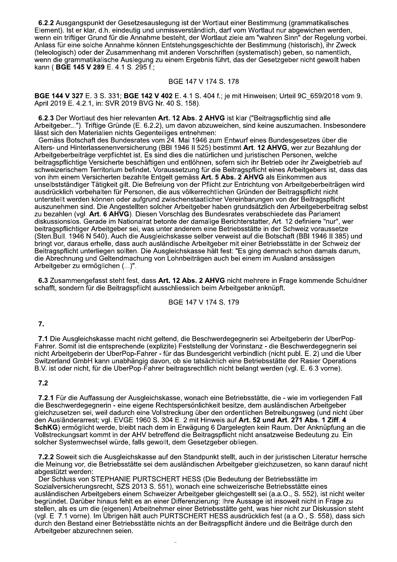6.2.2 Ausgangspunkt der Gesetzesauslegung ist der Wortlaut einer Bestimmung (grammatikalisches Element). Ist er klar, d.h. eindeutig und unmissverständlich, darf vom Wortlaut nur abgewichen werden, wenn ein triftiger Grund für die Annahme besteht, der Wortlaut ziele am "wahren Sinn" der Regelung vorbei. Anlass für eine solche Annahme können Entstehungsgeschichte der Bestimmung (historisch), ihr Zweck (teleologisch) oder der Zusammenhang mit anderen Vorschriften (systematisch) geben, so namentlich, wenn die grammatikalische Auslegung zu einem Ergebnis führt, das der Gesetzgeber nicht gewollt haben kann (BGE 145 V 289 E. 4.1 S. 295 f.;

#### BGE 147 V 174 S. 178

BGE 144 V 327 E. 3 S. 331; BGE 142 V 402 E. 4.1 S. 404 f.; je mit Hinweisen; Urteil 9C 659/2018 vom 9. April 2019 E. 4.2.1, in: SVR 2019 BVG Nr. 40 S. 158).

6.2.3 Der Wortlaut des hier relevanten Art. 12 Abs. 2 AHVG ist klar ("Beitragspflichtig sind alle Arbeitgeber..."). Triftige Gründe (E. 6.2.2), um davon abzuweichen, sind keine auszumachen. Insbesondere lässt sich den Materialien nichts Gegenteiliges entnehmen:

Gemäss Botschaft des Bundesrates vom 24. Mai 1946 zum Entwurf eines Bundesgesetzes über die Alters- und Hinterlassenenversicherung (BBI 1946 II 525) bestimmt Art. 12 AHVG, wer zur Bezahlung der Arbeitgeberbeiträge verpflichtet ist. Es sind dies die natürlichen und juristischen Personen, welche beitragspflichtige Versicherte beschäftigen und entlöhnen, sofern sich ihr Betrieb oder ihr Zweigbetrieb auf schweizerischem Territorium befindet. Voraussetzung für die Beitragspflicht eines Arbeitgebers ist, dass das von ihm einem Versicherten bezahlte Entgelt gemäss Art. 5 Abs. 2 AHVG als Einkommen aus unselbstständiger Tätigkeit gilt. Die Befreiung von der Pflicht zur Entrichtung von Arbeitgeberbeiträgen wird ausdrücklich vorbehalten für Personen, die aus völkerrechtlichen Gründen der Beitragspflicht nicht unterstellt werden können oder aufgrund zwischenstaatlicher Vereinbarungen von der Beitragspflicht auszunehmen sind. Die Angestellten solcher Arbeitgeber haben grundsätzlich den Arbeitgeberbeitrag selbst zu bezahlen (vgl. Art. 6 AHVG). Diesen Vorschlag des Bundesrates verabschiedete das Parlament diskussionslos. Gerade im Nationalrat betonte der damalige Berichterstatter, Art. 12 definiere "nur", wer beitragspflichtiger Arbeitgeber sei, was unter anderem eine Betriebsstätte in der Schweiz voraussetze (Sten.Bull. 1946 N 540). Auch die Ausgleichskasse selber verweist auf die Botschaft (BBI 1946 II 385) und bringt vor, daraus erhelle, dass auch ausländische Arbeitgeber mit einer Betriebsstätte in der Schweiz der Beitragspflicht unterliegen sollten. Die Ausgleichskasse hält fest: "Es ging demnach schon damals darum, die Abrechnung und Geltendmachung von Lohnbeiträgen auch bei einem im Ausland ansässigen Arbeitgeber zu ermöglichen (...)".

6.3 Zusammengefasst steht fest, dass Art. 12 Abs. 2 AHVG nicht mehrere in Frage kommende Schuldner schafft, sondern für die Beitragspflicht ausschliesslich beim Arbeitgeber anknüpft.

BGE 147 V 174 S. 179

### 7.

7.1 Die Ausgleichskasse macht nicht geltend, die Beschwerdegegnerin sei Arbeitgeberin der UberPop-Fahrer. Somit ist die entsprechende (explizite) Feststellung der Vorinstanz - die Beschwerdegegnerin sei nicht Arbeitgeberin der UberPop-Fahrer - für das Bundesgericht verbindlich (nicht publ. E. 2) und die Uber Switzerland GmbH kann unabhängig davon, ob sie tatsächlich eine Betriebsstätte der Rasier Operations B.V. ist oder nicht, für die UberPop-Fahrer beitragsrechtlich nicht belangt werden (vgl. E. 6.3 vorne).

### $7.2$

7.2.1 Für die Auffassung der Ausgleichskasse, wonach eine Betriebsstätte, die - wie im vorliegenden Fall die Beschwerdegegnerin - eine eigene Rechtspersönlichkeit besitze, dem ausländischen Arbeitgeber gleichzusetzen sei, weil dadurch eine Vollstreckung über den ordentlichen Betreibungsweg (und nicht über den Ausländerarrest; vgl. EVGE 1960 S. 304 E. 2 mit Hinweis auf Art. 52 und Art. 271 Abs. 1 Ziff. 4 SchKG) ermöglicht werde, bleibt nach dem in Erwägung 6 Dargelegten kein Raum. Der Anknüpfung an die Vollstreckungsart kommt in der AHV betreffend die Beitragspflicht nicht ansatzweise Bedeutung zu. Ein solcher Systemwechsel würde, falls gewollt, dem Gesetzgeber obliegen.

7.2.2 Soweit sich die Ausgleichskasse auf den Standpunkt stellt, auch in der juristischen Literatur herrsche die Meinung vor, die Betriebsstätte sei dem ausländischen Arbeitgeber gleichzusetzen, so kann darauf nicht abgestützt werden:

Der Schluss von STEPHANIE PURTSCHERT HESS (Die Bedeutung der Betriebsstätte im Sozialversicherungsrecht, SZS 2013 S. 551), wonach eine schweizerische Betriebsstätte eines ausländischen Arbeitgebers einem Schweizer Arbeitgeber gleichgestellt sei (a.a.O., S. 552), ist nicht weiter begründet. Darüber hinaus fehlt es an einer Differenzierung: Ihre Aussage ist insoweit nicht in Frage zu stellen, als es um die (eigenen) Arbeitnehmer einer Betriebsstätte geht, was hier nicht zur Diskussion steht (vgl. E. 7.1 vorne). Im Übrigen hält auch PURTSCHERT HESS ausdrücklich fest (a.a.O., S. 558), dass sich durch den Bestand einer Betriebsstätte nichts an der Beitragspflicht ändere und die Beiträge durch den Arbeitgeber abzurechnen seien.

 $\ddot{\phantom{a}}$